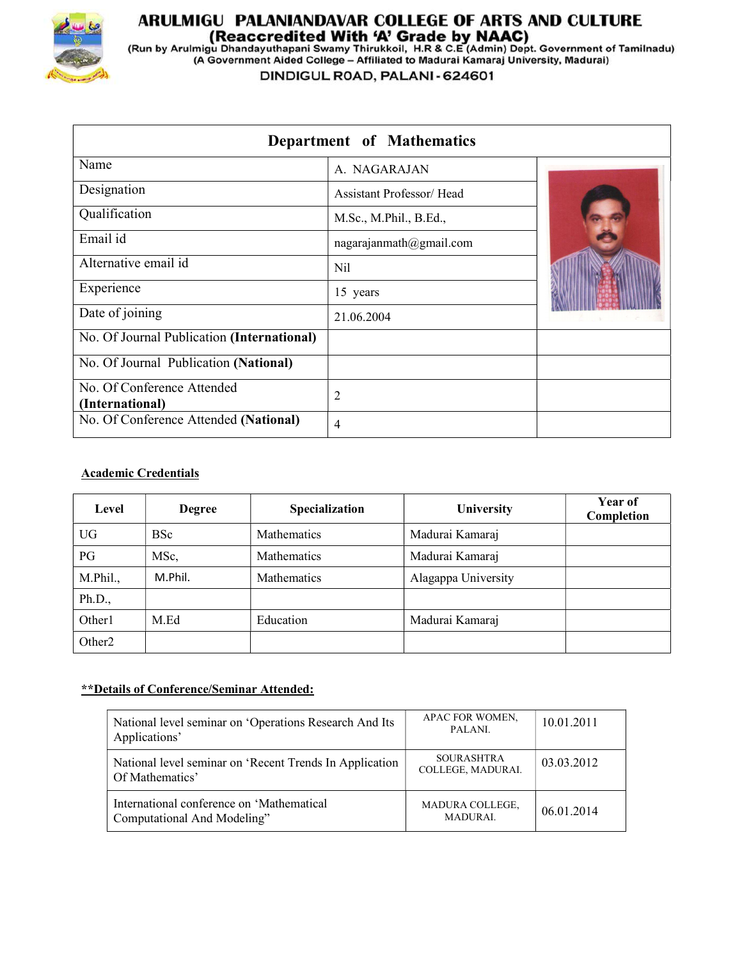

# **ARULMIGU PALANIANDAVAR COLLEGE OF ARTS AND CULTURE<br>(Reaccredited With 'A' Grade by NAAC)<br>(Run by Arulmigu Dhandayuthapani Swamy Thirukkoil, H.R & C.E (Admin) Dept. Government of Tamilnadu)<br>(A Government Aided College – Af**

DINDIGUL ROAD, PALANI - 624601

| Department of Mathematics                     |                          |  |  |  |
|-----------------------------------------------|--------------------------|--|--|--|
| Name                                          | A. NAGARAJAN             |  |  |  |
| Designation                                   | Assistant Professor/Head |  |  |  |
| Qualification                                 | M.Sc., M.Phil., B.Ed.,   |  |  |  |
| Email id                                      | nagarajanmath@gmail.com  |  |  |  |
| Alternative email id                          | Nil                      |  |  |  |
| Experience                                    | 15 years                 |  |  |  |
| Date of joining                               | 21.06.2004               |  |  |  |
| No. Of Journal Publication (International)    |                          |  |  |  |
| No. Of Journal Publication (National)         |                          |  |  |  |
| No. Of Conference Attended<br>(International) | 2                        |  |  |  |
| No. Of Conference Attended (National)         | 4                        |  |  |  |

# Academic Credentials

| Level              | <b>Degree</b> | Specialization | <b>University</b>   | Year of<br>Completion |
|--------------------|---------------|----------------|---------------------|-----------------------|
| UG                 | <b>BSc</b>    | Mathematics    | Madurai Kamaraj     |                       |
| PG                 | MSc,          | Mathematics    | Madurai Kamaraj     |                       |
| M.Phil.,           | M.Phil.       | Mathematics    | Alagappa University |                       |
| Ph.D.,             |               |                |                     |                       |
| Other1             | M.Ed          | Education      | Madurai Kamaraj     |                       |
| Other <sub>2</sub> |               |                |                     |                       |

# \*\*Details of Conference/Seminar Attended:

| National level seminar on 'Operations Research And Its<br>Applications'    | APAC FOR WOMEN,<br>PALANI.             | 10.01.2011 |
|----------------------------------------------------------------------------|----------------------------------------|------------|
| National level seminar on 'Recent Trends In Application<br>Of Mathematics' | <b>SOURASHTRA</b><br>COLLEGE, MADURAI. | 03.03.2012 |
| International conference on 'Mathematical<br>Computational And Modeling"   | MADURA COLLEGE,<br><b>MADURAI.</b>     | 06.01.2014 |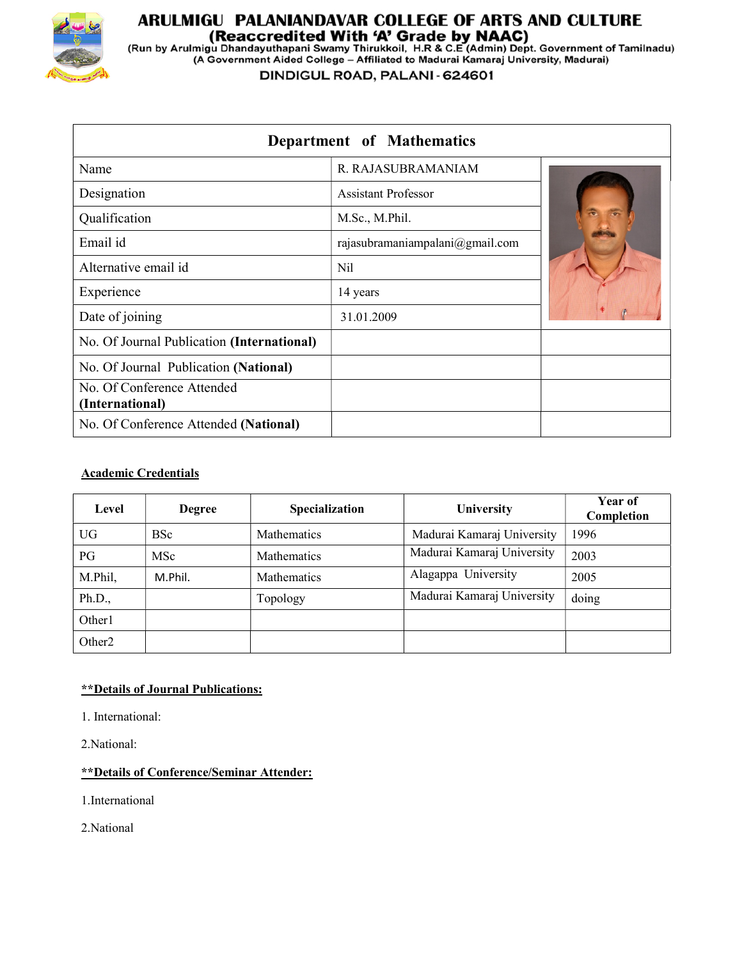

# **ARULMIGU PALANIANDAVAR COLLEGE OF ARTS AND CULTURE<br>(Reaccredited With 'A' Grade by NAAC)<br>(Run by Arulmigu Dhandayuthapani Swamy Thirukkoil, H.R & C.E (Admin) Dept. Government of Tamilnadu)<br>(A Government Aided College – Af**

DINDIGUL ROAD, PALANI - 624601

| Department of Mathematics                     |                                 |  |  |  |
|-----------------------------------------------|---------------------------------|--|--|--|
| Name                                          | R. RAJASUBRAMANIAM              |  |  |  |
| Designation                                   | <b>Assistant Professor</b>      |  |  |  |
| Qualification                                 | M.Sc., M.Phil.                  |  |  |  |
| Email id                                      | rajasubramaniampalani@gmail.com |  |  |  |
| Alternative email id                          | Nil                             |  |  |  |
| Experience                                    | 14 years                        |  |  |  |
| Date of joining                               | 31.01.2009                      |  |  |  |
| No. Of Journal Publication (International)    |                                 |  |  |  |
| No. Of Journal Publication (National)         |                                 |  |  |  |
| No. Of Conference Attended<br>(International) |                                 |  |  |  |
| No. Of Conference Attended (National)         |                                 |  |  |  |

# Academic Credentials

| Level              | <b>Degree</b> | Specialization     | University                 | Year of<br>Completion |
|--------------------|---------------|--------------------|----------------------------|-----------------------|
| <b>UG</b>          | <b>BSc</b>    | Mathematics        | Madurai Kamaraj University | 1996                  |
| PG                 | <b>MSc</b>    | <b>Mathematics</b> | Madurai Kamaraj University | 2003                  |
| M.Phil,            | M.Phil.       | <b>Mathematics</b> | Alagappa University        | 2005                  |
| Ph.D.,             |               | Topology           | Madurai Kamaraj University | doing                 |
| Other1             |               |                    |                            |                       |
| Other <sub>2</sub> |               |                    |                            |                       |

# \*\*Details of Journal Publications:

1. International:

2.National:

# \*\*Details of Conference/Seminar Attender:

1.International

2.National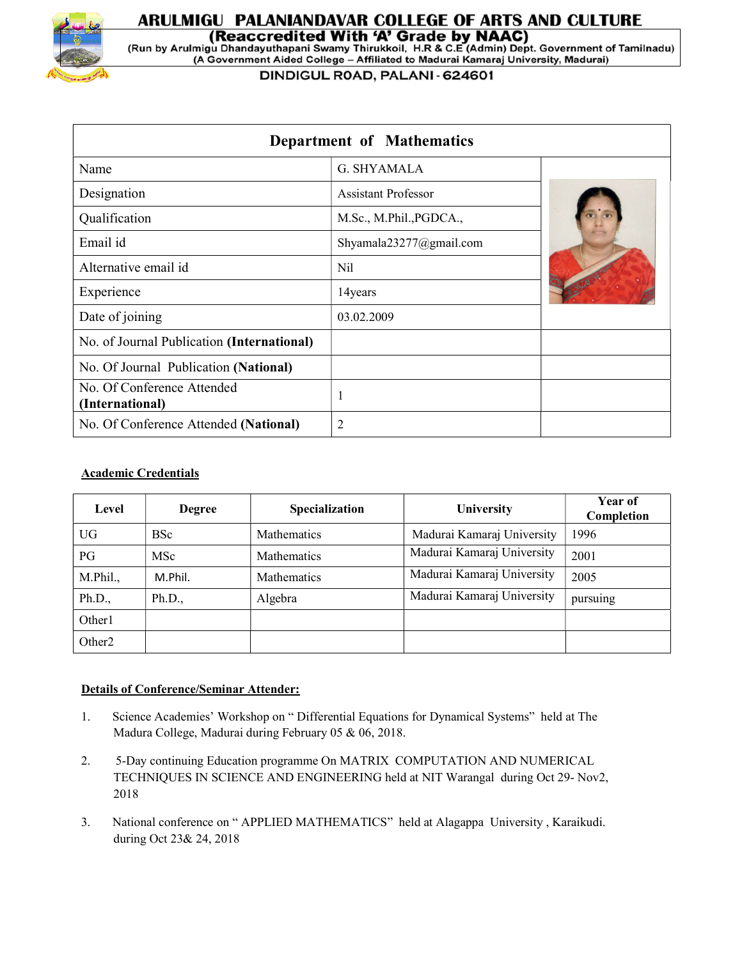

# ARULMIGU PALANIANDAVAR COLLEGE OF ARTS AND CULTURE (Reaccredited With 'A' Grade by NAAC)

(Run by Arulmigu Dhandayuthapani Swamy Thirukkoil, H.R & C.E (Admin) Dept. Government of Tamilnadu) (A Government Aided College - Affiliated to Madurai Kamaraj University, Madurai)

DINDIGUL ROAD, PALANI - 624601

| Department of Mathematics                     |                            |  |  |  |
|-----------------------------------------------|----------------------------|--|--|--|
| Name                                          | G. SHYAMALA                |  |  |  |
| Designation                                   | <b>Assistant Professor</b> |  |  |  |
| Qualification                                 | M.Sc., M.Phil., PGDCA.,    |  |  |  |
| Email id                                      | Shyamala23277@gmail.com    |  |  |  |
| Alternative email id                          | Nil                        |  |  |  |
| Experience                                    | 14years                    |  |  |  |
| Date of joining                               | 03.02.2009                 |  |  |  |
| No. of Journal Publication (International)    |                            |  |  |  |
| No. Of Journal Publication (National)         |                            |  |  |  |
| No. Of Conference Attended<br>(International) |                            |  |  |  |
| No. Of Conference Attended (National)         | 2                          |  |  |  |

### Academic Credentials

| Level              | <b>Degree</b> | Specialization     | <b>University</b>          | Year of<br>Completion |
|--------------------|---------------|--------------------|----------------------------|-----------------------|
| <b>UG</b>          | <b>BSc</b>    | Mathematics        | Madurai Kamaraj University | 1996                  |
| PG                 | <b>MSc</b>    | <b>Mathematics</b> | Madurai Kamaraj University | 2001                  |
| M.Phil.,           | M.Phil.       | Mathematics        | Madurai Kamaraj University | 2005                  |
| Ph.D.,             | Ph.D.,        | Algebra            | Madurai Kamaraj University | pursuing              |
| Other1             |               |                    |                            |                       |
| Other <sub>2</sub> |               |                    |                            |                       |

#### Details of Conference/Seminar Attender:

- 1. Science Academies' Workshop on " Differential Equations for Dynamical Systems" held at The Madura College, Madurai during February 05 & 06, 2018.
- 2. 5-Day continuing Education programme On MATRIX COMPUTATION AND NUMERICAL TECHNIQUES IN SCIENCE AND ENGINEERING held at NIT Warangal during Oct 29- Nov2, 2018
- 3. National conference on " APPLIED MATHEMATICS" held at Alagappa University , Karaikudi. during Oct 23& 24, 2018